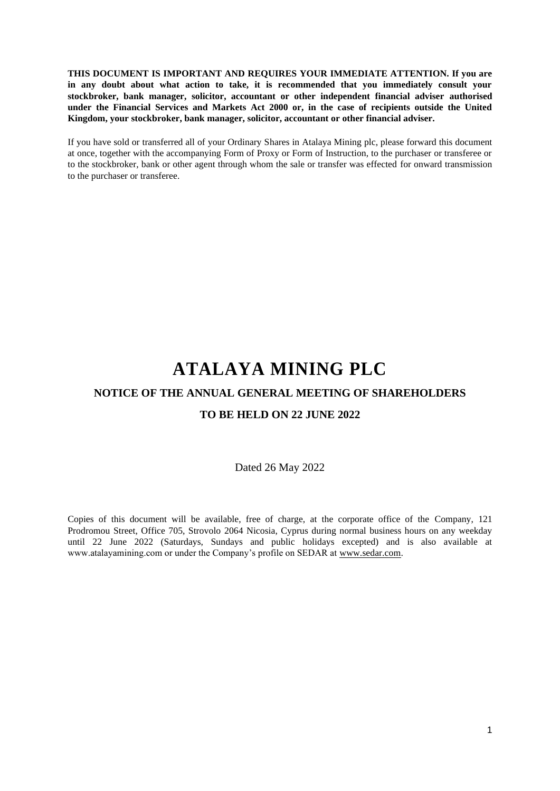**THIS DOCUMENT IS IMPORTANT AND REQUIRES YOUR IMMEDIATE ATTENTION. If you are in any doubt about what action to take, it is recommended that you immediately consult your stockbroker, bank manager, solicitor, accountant or other independent financial adviser authorised under the Financial Services and Markets Act 2000 or, in the case of recipients outside the United Kingdom, your stockbroker, bank manager, solicitor, accountant or other financial adviser.**

If you have sold or transferred all of your Ordinary Shares in Atalaya Mining plc, please forward this document at once, together with the accompanying Form of Proxy or Form of Instruction, to the purchaser or transferee or to the stockbroker, bank or other agent through whom the sale or transfer was effected for onward transmission to the purchaser or transferee.

# **ATALAYA MINING PLC**

# **NOTICE OF THE ANNUAL GENERAL MEETING OF SHAREHOLDERS**

# **TO BE HELD ON 22 JUNE 2022**

# Dated 26 May 2022

Copies of this document will be available, free of charge, at the corporate office of the Company, 121 Prodromou Street, Office 705, Strovolo 2064 Nicosia, Cyprus during normal business hours on any weekday until 22 June 2022 (Saturdays, Sundays and public holidays excepted) and is also available at www.atalayamining.com or under the Company's profile on SEDAR at www.sedar.com.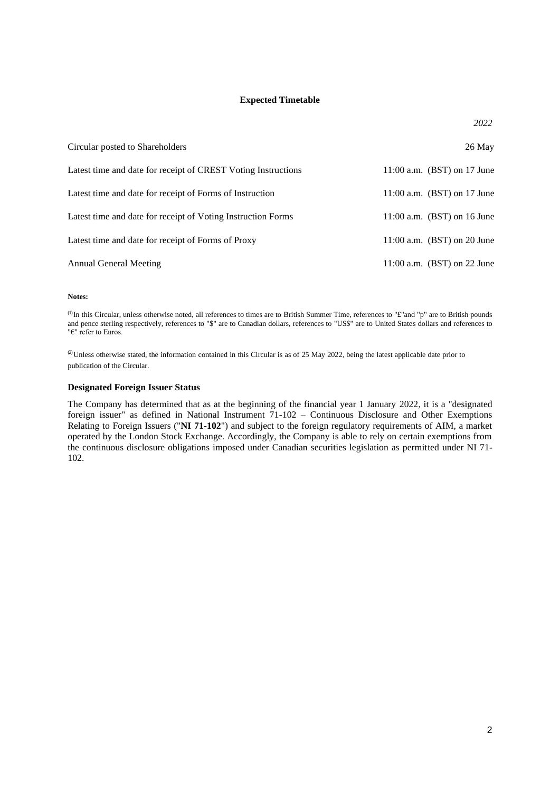# **Expected Timetable**

| Circular posted to Shareholders                               | $26$ May                      |
|---------------------------------------------------------------|-------------------------------|
| Latest time and date for receipt of CREST Voting Instructions | $11:00$ a.m. (BST) on 17 June |
| Latest time and date for receipt of Forms of Instruction      | $11:00$ a.m. (BST) on 17 June |
| Latest time and date for receipt of Voting Instruction Forms  | $11:00$ a.m. (BST) on 16 June |
| Latest time and date for receipt of Forms of Proxy            | $11:00$ a.m. (BST) on 20 June |
| Annual General Meeting                                        | $11:00$ a.m. (BST) on 22 June |

#### **Notes:**

<sup>(1)</sup>In this Circular, unless otherwise noted, all references to times are to British Summer Time, references to "£"and "p" are to British pounds and pence sterling respectively, references to "\$" are to Canadian dollars, references to "US\$" are to United States dollars and references to "€" refer to Euros.

(2) Unless otherwise stated, the information contained in this Circular is as of 25 May 2022, being the latest applicable date prior to publication of the Circular.

# **Designated Foreign Issuer Status**

The Company has determined that as at the beginning of the financial year 1 January 2022, it is a "designated foreign issuer" as defined in National Instrument 71-102 – Continuous Disclosure and Other Exemptions Relating to Foreign Issuers ("**NI 71-102**") and subject to the foreign regulatory requirements of AIM, a market operated by the London Stock Exchange. Accordingly, the Company is able to rely on certain exemptions from the continuous disclosure obligations imposed under Canadian securities legislation as permitted under NI 71- 102.

*2022*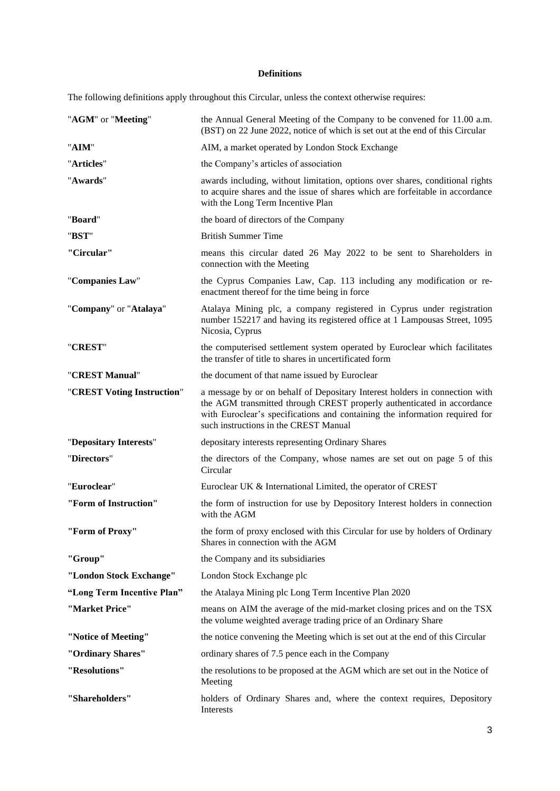# **Definitions**

The following definitions apply throughout this Circular, unless the context otherwise requires:

| "AGM" or "Meeting"         | the Annual General Meeting of the Company to be convened for 11.00 a.m.<br>(BST) on 22 June 2022, notice of which is set out at the end of this Circular                                                                                                                      |
|----------------------------|-------------------------------------------------------------------------------------------------------------------------------------------------------------------------------------------------------------------------------------------------------------------------------|
| "AIM"                      | AIM, a market operated by London Stock Exchange                                                                                                                                                                                                                               |
| "Articles"                 | the Company's articles of association                                                                                                                                                                                                                                         |
| "Awards"                   | awards including, without limitation, options over shares, conditional rights<br>to acquire shares and the issue of shares which are forfeitable in accordance<br>with the Long Term Incentive Plan                                                                           |
| "Board"                    | the board of directors of the Company                                                                                                                                                                                                                                         |
| "BST"                      | <b>British Summer Time</b>                                                                                                                                                                                                                                                    |
| "Circular"                 | means this circular dated 26 May 2022 to be sent to Shareholders in<br>connection with the Meeting                                                                                                                                                                            |
| "Companies Law"            | the Cyprus Companies Law, Cap. 113 including any modification or re-<br>enactment thereof for the time being in force                                                                                                                                                         |
| "Company" or "Atalaya"     | Atalaya Mining plc, a company registered in Cyprus under registration<br>number 152217 and having its registered office at 1 Lampousas Street, 1095<br>Nicosia, Cyprus                                                                                                        |
| "CREST"                    | the computerised settlement system operated by Euroclear which facilitates<br>the transfer of title to shares in uncertificated form                                                                                                                                          |
| "CREST Manual"             | the document of that name issued by Euroclear                                                                                                                                                                                                                                 |
| "CREST Voting Instruction" | a message by or on behalf of Depositary Interest holders in connection with<br>the AGM transmitted through CREST properly authenticated in accordance<br>with Euroclear's specifications and containing the information required for<br>such instructions in the CREST Manual |
| "Depositary Interests"     | depositary interests representing Ordinary Shares                                                                                                                                                                                                                             |
| "Directors"                | the directors of the Company, whose names are set out on page 5 of this<br>Circular                                                                                                                                                                                           |
| "Euroclear"                | Euroclear UK & International Limited, the operator of CREST                                                                                                                                                                                                                   |
| "Form of Instruction"      | the form of instruction for use by Depository Interest holders in connection<br>with the AGM                                                                                                                                                                                  |
| "Form of Proxy"            | the form of proxy enclosed with this Circular for use by holders of Ordinary<br>Shares in connection with the AGM                                                                                                                                                             |
| "Group"                    | the Company and its subsidiaries                                                                                                                                                                                                                                              |
| "London Stock Exchange"    | London Stock Exchange plc                                                                                                                                                                                                                                                     |
| "Long Term Incentive Plan" | the Atalaya Mining plc Long Term Incentive Plan 2020                                                                                                                                                                                                                          |
| "Market Price"             | means on AIM the average of the mid-market closing prices and on the TSX<br>the volume weighted average trading price of an Ordinary Share                                                                                                                                    |
| "Notice of Meeting"        | the notice convening the Meeting which is set out at the end of this Circular                                                                                                                                                                                                 |
| "Ordinary Shares"          | ordinary shares of 7.5 pence each in the Company                                                                                                                                                                                                                              |
| "Resolutions"              | the resolutions to be proposed at the AGM which are set out in the Notice of<br>Meeting                                                                                                                                                                                       |
| "Shareholders"             | holders of Ordinary Shares and, where the context requires, Depository<br>Interests                                                                                                                                                                                           |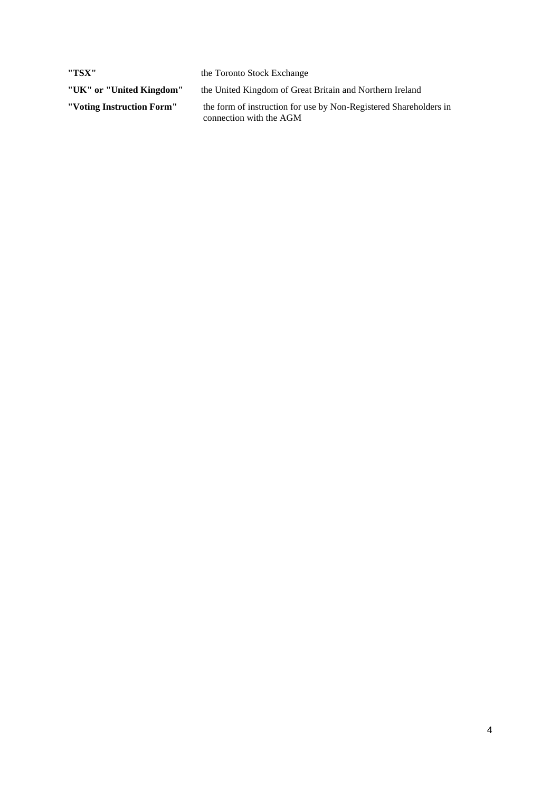**"TSX"** the Toronto Stock Exchange

**"UK" or "United Kingdom"** the United Kingdom of Great Britain and Northern Ireland

**"Voting Instruction Form"** the form of instruction for use by Non-Registered Shareholders in connection with the AGM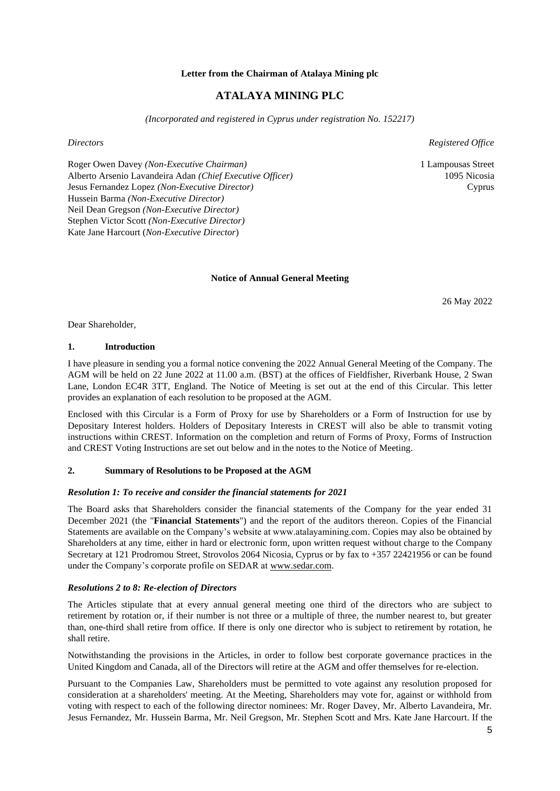# **Letter from the Chairman of Atalaya Mining plc**

# **ATALAYA MINING PLC**

*(Incorporated and registered in Cyprus under registration No. 152217)*

*Directors Registered Office*

Roger Owen Davey *(Non-Executive Chairman)* 1 Lampousas Street Alberto Arsenio Lavandeira Adan *(Chief Executive Officer)* 1095 Nicosia Jesus Fernandez Lopez *(Non-Executive Director)* Cyprus Hussein Barma *(Non-Executive Director)* Neil Dean Gregson *(Non-Executive Director)* Stephen Victor Scott *(Non-Executive Director)* Kate Jane Harcourt (*Non-Executive Director*)

# **Notice of Annual General Meeting**

26 May 2022

Dear Shareholder,

# **1. Introduction**

I have pleasure in sending you a formal notice convening the 2022 Annual General Meeting of the Company. The AGM will be held on 22 June 2022 at 11.00 a.m. (BST) at the offices of Fieldfisher, Riverbank House, 2 Swan Lane, London EC4R 3TT, England. The Notice of Meeting is set out at the end of this Circular. This letter provides an explanation of each resolution to be proposed at the AGM.

Enclosed with this Circular is a Form of Proxy for use by Shareholders or a Form of Instruction for use by Depositary Interest holders. Holders of Depositary Interests in CREST will also be able to transmit voting instructions within CREST. Information on the completion and return of Forms of Proxy, Forms of Instruction and CREST Voting Instructions are set out below and in the notes to the Notice of Meeting.

# **2. Summary of Resolutions to be Proposed at the AGM**

### *Resolution 1: To receive and consider the financial statements for 2021*

The Board asks that Shareholders consider the financial statements of the Company for the year ended 31 December 2021 (the "**Financial Statements**") and the report of the auditors thereon. Copies of the Financial Statements are available on the Company's website at www.atalayamining.com. Copies may also be obtained by Shareholders at any time, either in hard or electronic form, upon written request without charge to the Company Secretary at 121 Prodromou Street, Strovolos 2064 Nicosia, Cyprus or by fax to +357 22421956 or can be found under the Company's corporate profile on SEDAR at www.sedar.com.

### *Resolutions 2 to 8: Re-election of Directors*

The Articles stipulate that at every annual general meeting one third of the directors who are subject to retirement by rotation or, if their number is not three or a multiple of three, the number nearest to, but greater than, one-third shall retire from office. If there is only one director who is subject to retirement by rotation, he shall retire.

Notwithstanding the provisions in the Articles, in order to follow best corporate governance practices in the United Kingdom and Canada, all of the Directors will retire at the AGM and offer themselves for re-election.

Pursuant to the Companies Law, Shareholders must be permitted to vote against any resolution proposed for consideration at a shareholders' meeting. At the Meeting, Shareholders may vote for, against or withhold from voting with respect to each of the following director nominees: Mr. Roger Davey, Mr. Alberto Lavandeira, Mr. Jesus Fernandez, Mr. Hussein Barma, Mr. Neil Gregson, Mr. Stephen Scott and Mrs. Kate Jane Harcourt. If the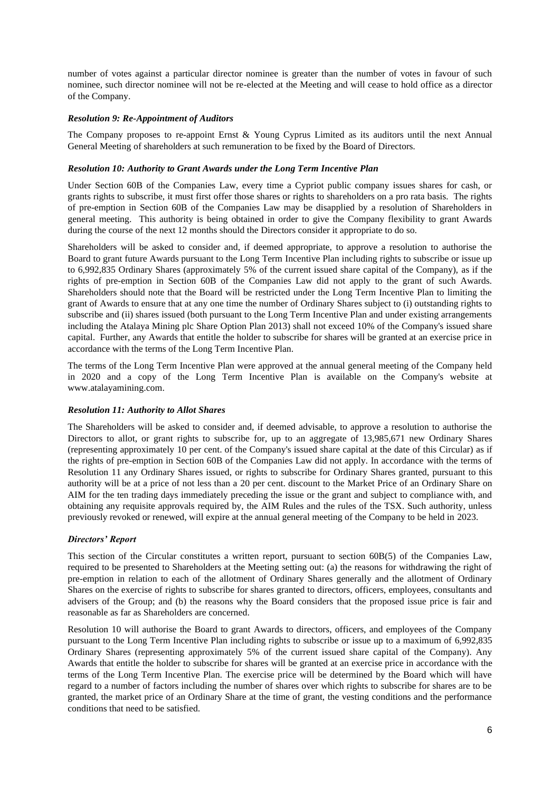number of votes against a particular director nominee is greater than the number of votes in favour of such nominee, such director nominee will not be re-elected at the Meeting and will cease to hold office as a director of the Company.

# *Resolution 9: Re-Appointment of Auditors*

The Company proposes to re-appoint Ernst & Young Cyprus Limited as its auditors until the next Annual General Meeting of shareholders at such remuneration to be fixed by the Board of Directors.

# *Resolution 10: Authority to Grant Awards under the Long Term Incentive Plan*

Under Section 60B of the Companies Law, every time a Cypriot public company issues shares for cash, or grants rights to subscribe, it must first offer those shares or rights to shareholders on a pro rata basis. The rights of pre-emption in Section 60B of the Companies Law may be disapplied by a resolution of Shareholders in general meeting. This authority is being obtained in order to give the Company flexibility to grant Awards during the course of the next 12 months should the Directors consider it appropriate to do so.

Shareholders will be asked to consider and, if deemed appropriate, to approve a resolution to authorise the Board to grant future Awards pursuant to the Long Term Incentive Plan including rights to subscribe or issue up to 6,992,835 Ordinary Shares (approximately 5% of the current issued share capital of the Company), as if the rights of pre-emption in Section 60B of the Companies Law did not apply to the grant of such Awards. Shareholders should note that the Board will be restricted under the Long Term Incentive Plan to limiting the grant of Awards to ensure that at any one time the number of Ordinary Shares subject to (i) outstanding rights to subscribe and (ii) shares issued (both pursuant to the Long Term Incentive Plan and under existing arrangements including the Atalaya Mining plc Share Option Plan 2013) shall not exceed 10% of the Company's issued share capital. Further, any Awards that entitle the holder to subscribe for shares will be granted at an exercise price in accordance with the terms of the Long Term Incentive Plan.

The terms of the Long Term Incentive Plan were approved at the annual general meeting of the Company held in 2020 and a copy of the Long Term Incentive Plan is available on the Company's website at www.atalayamining.com.

# *Resolution 11: Authority to Allot Shares*

The Shareholders will be asked to consider and, if deemed advisable, to approve a resolution to authorise the Directors to allot, or grant rights to subscribe for, up to an aggregate of 13,985,671 new Ordinary Shares (representing approximately 10 per cent. of the Company's issued share capital at the date of this Circular) as if the rights of pre-emption in Section 60B of the Companies Law did not apply. In accordance with the terms of Resolution 11 any Ordinary Shares issued, or rights to subscribe for Ordinary Shares granted, pursuant to this authority will be at a price of not less than a 20 per cent. discount to the Market Price of an Ordinary Share on AIM for the ten trading days immediately preceding the issue or the grant and subject to compliance with, and obtaining any requisite approvals required by, the AIM Rules and the rules of the TSX. Such authority, unless previously revoked or renewed, will expire at the annual general meeting of the Company to be held in 2023.

# *Directors' Report*

This section of the Circular constitutes a written report, pursuant to section 60B(5) of the Companies Law, required to be presented to Shareholders at the Meeting setting out: (a) the reasons for withdrawing the right of pre-emption in relation to each of the allotment of Ordinary Shares generally and the allotment of Ordinary Shares on the exercise of rights to subscribe for shares granted to directors, officers, employees, consultants and advisers of the Group; and (b) the reasons why the Board considers that the proposed issue price is fair and reasonable as far as Shareholders are concerned.

Resolution 10 will authorise the Board to grant Awards to directors, officers, and employees of the Company pursuant to the Long Term Incentive Plan including rights to subscribe or issue up to a maximum of 6,992,835 Ordinary Shares (representing approximately 5% of the current issued share capital of the Company). Any Awards that entitle the holder to subscribe for shares will be granted at an exercise price in accordance with the terms of the Long Term Incentive Plan. The exercise price will be determined by the Board which will have regard to a number of factors including the number of shares over which rights to subscribe for shares are to be granted, the market price of an Ordinary Share at the time of grant, the vesting conditions and the performance conditions that need to be satisfied.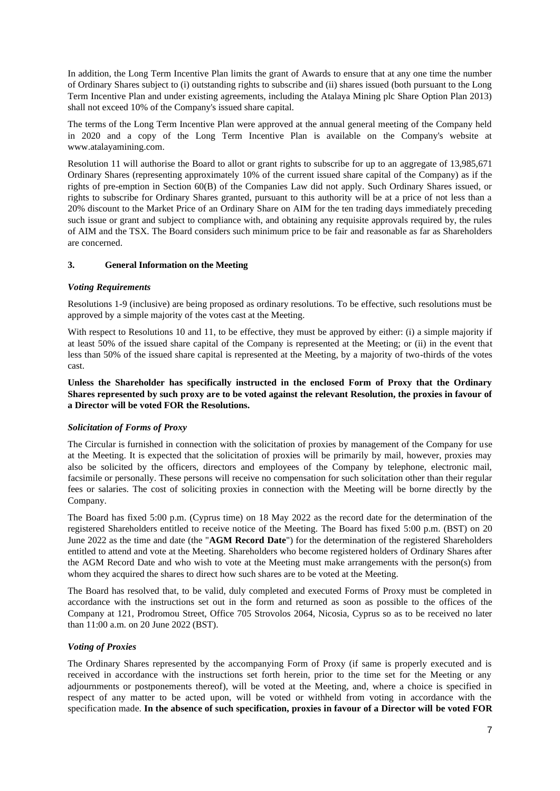In addition, the Long Term Incentive Plan limits the grant of Awards to ensure that at any one time the number of Ordinary Shares subject to (i) outstanding rights to subscribe and (ii) shares issued (both pursuant to the Long Term Incentive Plan and under existing agreements, including the Atalaya Mining plc Share Option Plan 2013) shall not exceed 10% of the Company's issued share capital.

The terms of the Long Term Incentive Plan were approved at the annual general meeting of the Company held in 2020 and a copy of the Long Term Incentive Plan is available on the Company's website at www.atalayamining.com.

Resolution 11 will authorise the Board to allot or grant rights to subscribe for up to an aggregate of 13,985,671 Ordinary Shares (representing approximately 10% of the current issued share capital of the Company) as if the rights of pre-emption in Section 60(B) of the Companies Law did not apply. Such Ordinary Shares issued, or rights to subscribe for Ordinary Shares granted, pursuant to this authority will be at a price of not less than a 20% discount to the Market Price of an Ordinary Share on AIM for the ten trading days immediately preceding such issue or grant and subject to compliance with, and obtaining any requisite approvals required by, the rules of AIM and the TSX. The Board considers such minimum price to be fair and reasonable as far as Shareholders are concerned.

# **3. General Information on the Meeting**

### *Voting Requirements*

Resolutions 1-9 (inclusive) are being proposed as ordinary resolutions. To be effective, such resolutions must be approved by a simple majority of the votes cast at the Meeting.

With respect to Resolutions 10 and 11, to be effective, they must be approved by either: (i) a simple majority if at least 50% of the issued share capital of the Company is represented at the Meeting; or (ii) in the event that less than 50% of the issued share capital is represented at the Meeting, by a majority of two-thirds of the votes cast.

**Unless the Shareholder has specifically instructed in the enclosed Form of Proxy that the Ordinary Shares represented by such proxy are to be voted against the relevant Resolution, the proxies in favour of a Director will be voted FOR the Resolutions.**

# *Solicitation of Forms of Proxy*

The Circular is furnished in connection with the solicitation of proxies by management of the Company for use at the Meeting. It is expected that the solicitation of proxies will be primarily by mail, however, proxies may also be solicited by the officers, directors and employees of the Company by telephone, electronic mail, facsimile or personally. These persons will receive no compensation for such solicitation other than their regular fees or salaries. The cost of soliciting proxies in connection with the Meeting will be borne directly by the Company.

The Board has fixed 5:00 p.m. (Cyprus time) on 18 May 2022 as the record date for the determination of the registered Shareholders entitled to receive notice of the Meeting. The Board has fixed 5:00 p.m. (BST) on 20 June 2022 as the time and date (the "**AGM Record Date**") for the determination of the registered Shareholders entitled to attend and vote at the Meeting. Shareholders who become registered holders of Ordinary Shares after the AGM Record Date and who wish to vote at the Meeting must make arrangements with the person(s) from whom they acquired the shares to direct how such shares are to be voted at the Meeting.

The Board has resolved that, to be valid, duly completed and executed Forms of Proxy must be completed in accordance with the instructions set out in the form and returned as soon as possible to the offices of the Company at 121, Prodromou Street, Office 705 Strovolos 2064, Nicosia, Cyprus so as to be received no later than 11:00 a.m. on 20 June 2022 (BST).

### *Voting of Proxies*

The Ordinary Shares represented by the accompanying Form of Proxy (if same is properly executed and is received in accordance with the instructions set forth herein, prior to the time set for the Meeting or any adjournments or postponements thereof), will be voted at the Meeting, and, where a choice is specified in respect of any matter to be acted upon, will be voted or withheld from voting in accordance with the specification made. **In the absence of such specification, proxies in favour of a Director will be voted FOR**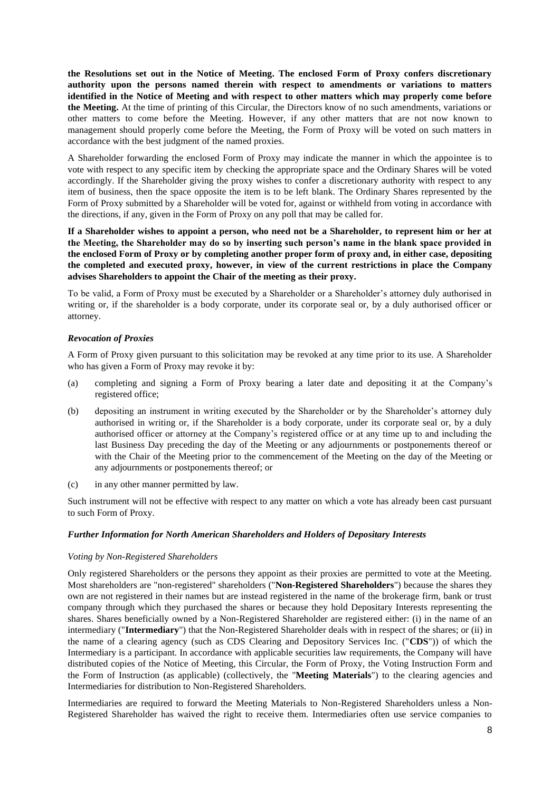**the Resolutions set out in the Notice of Meeting. The enclosed Form of Proxy confers discretionary authority upon the persons named therein with respect to amendments or variations to matters identified in the Notice of Meeting and with respect to other matters which may properly come before the Meeting.** At the time of printing of this Circular, the Directors know of no such amendments, variations or other matters to come before the Meeting. However, if any other matters that are not now known to management should properly come before the Meeting, the Form of Proxy will be voted on such matters in accordance with the best judgment of the named proxies.

A Shareholder forwarding the enclosed Form of Proxy may indicate the manner in which the appointee is to vote with respect to any specific item by checking the appropriate space and the Ordinary Shares will be voted accordingly. If the Shareholder giving the proxy wishes to confer a discretionary authority with respect to any item of business, then the space opposite the item is to be left blank. The Ordinary Shares represented by the Form of Proxy submitted by a Shareholder will be voted for, against or withheld from voting in accordance with the directions, if any, given in the Form of Proxy on any poll that may be called for.

**If a Shareholder wishes to appoint a person, who need not be a Shareholder, to represent him or her at the Meeting, the Shareholder may do so by inserting such person's name in the blank space provided in the enclosed Form of Proxy or by completing another proper form of proxy and, in either case, depositing the completed and executed proxy, however, in view of the current restrictions in place the Company advises Shareholders to appoint the Chair of the meeting as their proxy.**

To be valid, a Form of Proxy must be executed by a Shareholder or a Shareholder's attorney duly authorised in writing or, if the shareholder is a body corporate, under its corporate seal or, by a duly authorised officer or attorney.

# *Revocation of Proxies*

A Form of Proxy given pursuant to this solicitation may be revoked at any time prior to its use. A Shareholder who has given a Form of Proxy may revoke it by:

- (a) completing and signing a Form of Proxy bearing a later date and depositing it at the Company's registered office;
- (b) depositing an instrument in writing executed by the Shareholder or by the Shareholder's attorney duly authorised in writing or, if the Shareholder is a body corporate, under its corporate seal or, by a duly authorised officer or attorney at the Company's registered office or at any time up to and including the last Business Day preceding the day of the Meeting or any adjournments or postponements thereof or with the Chair of the Meeting prior to the commencement of the Meeting on the day of the Meeting or any adjournments or postponements thereof; or
- (c) in any other manner permitted by law.

Such instrument will not be effective with respect to any matter on which a vote has already been cast pursuant to such Form of Proxy.

### *Further Information for North American Shareholders and Holders of Depositary Interests*

#### *Voting by Non-Registered Shareholders*

Only registered Shareholders or the persons they appoint as their proxies are permitted to vote at the Meeting. Most shareholders are "non-registered" shareholders ("**Non-Registered Shareholders**") because the shares they own are not registered in their names but are instead registered in the name of the brokerage firm, bank or trust company through which they purchased the shares or because they hold Depositary Interests representing the shares. Shares beneficially owned by a Non-Registered Shareholder are registered either: (i) in the name of an intermediary ("**Intermediary**") that the Non-Registered Shareholder deals with in respect of the shares; or (ii) in the name of a clearing agency (such as CDS Clearing and Depository Services Inc. ("**CDS**")) of which the Intermediary is a participant. In accordance with applicable securities law requirements, the Company will have distributed copies of the Notice of Meeting, this Circular, the Form of Proxy, the Voting Instruction Form and the Form of Instruction (as applicable) (collectively, the "**Meeting Materials**") to the clearing agencies and Intermediaries for distribution to Non-Registered Shareholders.

Intermediaries are required to forward the Meeting Materials to Non-Registered Shareholders unless a Non-Registered Shareholder has waived the right to receive them. Intermediaries often use service companies to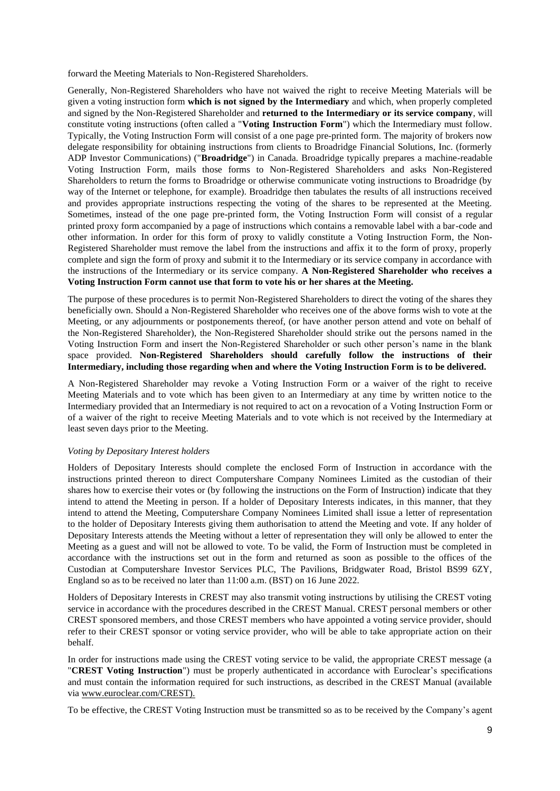forward the Meeting Materials to Non-Registered Shareholders.

Generally, Non-Registered Shareholders who have not waived the right to receive Meeting Materials will be given a voting instruction form **which is not signed by the Intermediary** and which, when properly completed and signed by the Non-Registered Shareholder and **returned to the Intermediary or its service company**, will constitute voting instructions (often called a "**Voting Instruction Form**") which the Intermediary must follow. Typically, the Voting Instruction Form will consist of a one page pre-printed form. The majority of brokers now delegate responsibility for obtaining instructions from clients to Broadridge Financial Solutions, Inc. (formerly ADP Investor Communications) ("**Broadridge**") in Canada. Broadridge typically prepares a machine-readable Voting Instruction Form, mails those forms to Non-Registered Shareholders and asks Non-Registered Shareholders to return the forms to Broadridge or otherwise communicate voting instructions to Broadridge (by way of the Internet or telephone, for example). Broadridge then tabulates the results of all instructions received and provides appropriate instructions respecting the voting of the shares to be represented at the Meeting. Sometimes, instead of the one page pre-printed form, the Voting Instruction Form will consist of a regular printed proxy form accompanied by a page of instructions which contains a removable label with a bar-code and other information. In order for this form of proxy to validly constitute a Voting Instruction Form, the Non-Registered Shareholder must remove the label from the instructions and affix it to the form of proxy, properly complete and sign the form of proxy and submit it to the Intermediary or its service company in accordance with the instructions of the Intermediary or its service company. **A Non-Registered Shareholder who receives a Voting Instruction Form cannot use that form to vote his or her shares at the Meeting.**

The purpose of these procedures is to permit Non-Registered Shareholders to direct the voting of the shares they beneficially own. Should a Non-Registered Shareholder who receives one of the above forms wish to vote at the Meeting, or any adjournments or postponements thereof, (or have another person attend and vote on behalf of the Non-Registered Shareholder), the Non-Registered Shareholder should strike out the persons named in the Voting Instruction Form and insert the Non-Registered Shareholder or such other person's name in the blank space provided. **Non-Registered Shareholders should carefully follow the instructions of their Intermediary, including those regarding when and where the Voting Instruction Form is to be delivered.**

A Non-Registered Shareholder may revoke a Voting Instruction Form or a waiver of the right to receive Meeting Materials and to vote which has been given to an Intermediary at any time by written notice to the Intermediary provided that an Intermediary is not required to act on a revocation of a Voting Instruction Form or of a waiver of the right to receive Meeting Materials and to vote which is not received by the Intermediary at least seven days prior to the Meeting.

#### *Voting by Depositary Interest holders*

Holders of Depositary Interests should complete the enclosed Form of Instruction in accordance with the instructions printed thereon to direct Computershare Company Nominees Limited as the custodian of their shares how to exercise their votes or (by following the instructions on the Form of Instruction) indicate that they intend to attend the Meeting in person. If a holder of Depositary Interests indicates, in this manner, that they intend to attend the Meeting, Computershare Company Nominees Limited shall issue a letter of representation to the holder of Depositary Interests giving them authorisation to attend the Meeting and vote. If any holder of Depositary Interests attends the Meeting without a letter of representation they will only be allowed to enter the Meeting as a guest and will not be allowed to vote. To be valid, the Form of Instruction must be completed in accordance with the instructions set out in the form and returned as soon as possible to the offices of the Custodian at Computershare Investor Services PLC, The Pavilions, Bridgwater Road, Bristol BS99 6ZY, England so as to be received no later than 11:00 a.m. (BST) on 16 June 2022.

Holders of Depositary Interests in CREST may also transmit voting instructions by utilising the CREST voting service in accordance with the procedures described in the CREST Manual. CREST personal members or other CREST sponsored members, and those CREST members who have appointed a voting service provider, should refer to their CREST sponsor or voting service provider, who will be able to take appropriate action on their behalf.

In order for instructions made using the CREST voting service to be valid, the appropriate CREST message (a "**CREST Voting Instruction**") must be properly authenticated in accordance with Euroclear's specifications and must contain the information required for such instructions, as described in the CREST Manual (available via www.euroclear.com/CREST).

To be effective, the CREST Voting Instruction must be transmitted so as to be received by the Company's agent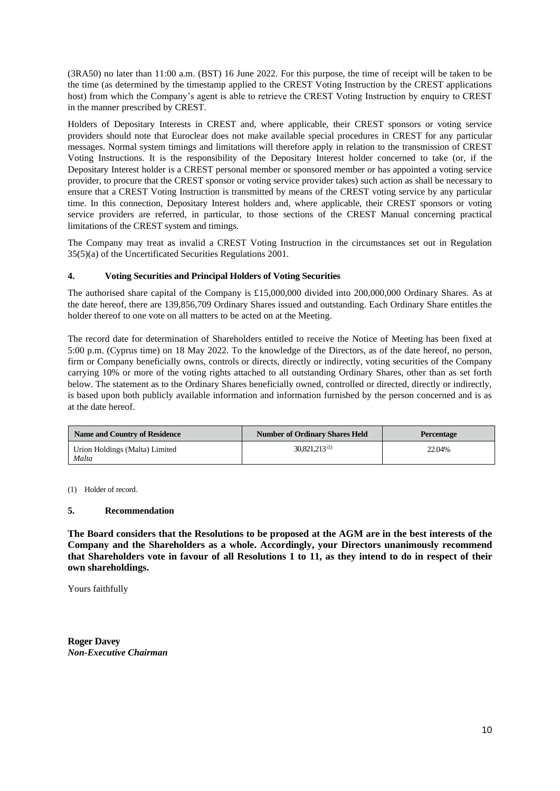(3RA50) no later than 11:00 a.m. (BST) 16 June 2022. For this purpose, the time of receipt will be taken to be the time (as determined by the timestamp applied to the CREST Voting Instruction by the CREST applications host) from which the Company's agent is able to retrieve the CREST Voting Instruction by enquiry to CREST in the manner prescribed by CREST.

Holders of Depositary Interests in CREST and, where applicable, their CREST sponsors or voting service providers should note that Euroclear does not make available special procedures in CREST for any particular messages. Normal system timings and limitations will therefore apply in relation to the transmission of CREST Voting Instructions. It is the responsibility of the Depositary Interest holder concerned to take (or, if the Depositary Interest holder is a CREST personal member or sponsored member or has appointed a voting service provider, to procure that the CREST sponsor or voting service provider takes) such action as shall be necessary to ensure that a CREST Voting Instruction is transmitted by means of the CREST voting service by any particular time. In this connection, Depositary Interest holders and, where applicable, their CREST sponsors or voting service providers are referred, in particular, to those sections of the CREST Manual concerning practical limitations of the CREST system and timings.

The Company may treat as invalid a CREST Voting Instruction in the circumstances set out in Regulation 35(5)(a) of the Uncertificated Securities Regulations 2001.

# **4. Voting Securities and Principal Holders of Voting Securities**

The authorised share capital of the Company is £15,000,000 divided into 200,000,000 Ordinary Shares. As at the date hereof, there are 139,856,709 Ordinary Shares issued and outstanding. Each Ordinary Share entitles the holder thereof to one vote on all matters to be acted on at the Meeting.

The record date for determination of Shareholders entitled to receive the Notice of Meeting has been fixed at 5:00 p.m. (Cyprus time) on 18 May 2022. To the knowledge of the Directors, as of the date hereof, no person, firm or Company beneficially owns, controls or directs, directly or indirectly, voting securities of the Company carrying 10% or more of the voting rights attached to all outstanding Ordinary Shares, other than as set forth below. The statement as to the Ordinary Shares beneficially owned, controlled or directed, directly or indirectly, is based upon both publicly available information and information furnished by the person concerned and is as at the date hereof.

| Name and Country of Residence           | <b>Number of Ordinary Shares Held</b> | <b>Percentage</b> |
|-----------------------------------------|---------------------------------------|-------------------|
| Urion Holdings (Malta) Limited<br>Malta | $30.821.213^{(1)}$                    | 22.04%            |

(1) Holder of record.

# **5. Recommendation**

**The Board considers that the Resolutions to be proposed at the AGM are in the best interests of the Company and the Shareholders as a whole. Accordingly, your Directors unanimously recommend that Shareholders vote in favour of all Resolutions 1 to 11, as they intend to do in respect of their own shareholdings.**

Yours faithfully

**Roger Davey** *Non-Executive Chairman*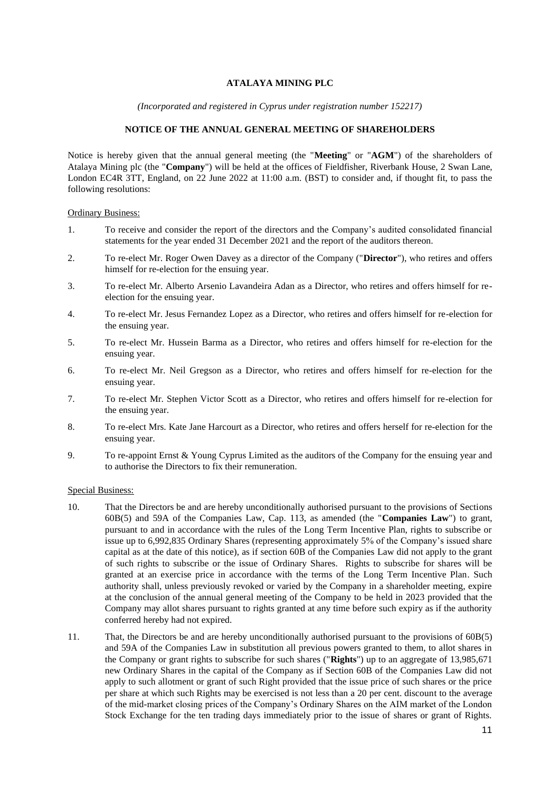# **ATALAYA MINING PLC**

*(Incorporated and registered in Cyprus under registration number 152217)*

# **NOTICE OF THE ANNUAL GENERAL MEETING OF SHAREHOLDERS**

Notice is hereby given that the annual general meeting (the "**Meeting**" or "**AGM**") of the shareholders of Atalaya Mining plc (the "**Company**") will be held at the offices of Fieldfisher, Riverbank House, 2 Swan Lane, London EC4R 3TT, England, on 22 June 2022 at 11:00 a.m. (BST) to consider and, if thought fit, to pass the following resolutions:

Ordinary Business:

- 1. To receive and consider the report of the directors and the Company's audited consolidated financial statements for the year ended 31 December 2021 and the report of the auditors thereon.
- 2. To re-elect Mr. Roger Owen Davey as a director of the Company ("**Director**"), who retires and offers himself for re-election for the ensuing year.
- 3. To re-elect Mr. Alberto Arsenio Lavandeira Adan as a Director, who retires and offers himself for reelection for the ensuing year.
- 4. To re-elect Mr. Jesus Fernandez Lopez as a Director, who retires and offers himself for re-election for the ensuing year.
- 5. To re-elect Mr. Hussein Barma as a Director, who retires and offers himself for re-election for the ensuing year.
- 6. To re-elect Mr. Neil Gregson as a Director, who retires and offers himself for re-election for the ensuing year.
- 7. To re-elect Mr. Stephen Victor Scott as a Director, who retires and offers himself for re-election for the ensuing year.
- 8. To re-elect Mrs. Kate Jane Harcourt as a Director, who retires and offers herself for re-election for the ensuing year.
- 9. To re-appoint Ernst & Young Cyprus Limited as the auditors of the Company for the ensuing year and to authorise the Directors to fix their remuneration.

Special Business:

- 10. That the Directors be and are hereby unconditionally authorised pursuant to the provisions of Sections 60B(5) and 59A of the Companies Law, Cap. 113, as amended (the "**Companies Law**") to grant, pursuant to and in accordance with the rules of the Long Term Incentive Plan, rights to subscribe or issue up to 6,992,835 Ordinary Shares (representing approximately 5% of the Company's issued share capital as at the date of this notice), as if section 60B of the Companies Law did not apply to the grant of such rights to subscribe or the issue of Ordinary Shares. Rights to subscribe for shares will be granted at an exercise price in accordance with the terms of the Long Term Incentive Plan. Such authority shall, unless previously revoked or varied by the Company in a shareholder meeting, expire at the conclusion of the annual general meeting of the Company to be held in 2023 provided that the Company may allot shares pursuant to rights granted at any time before such expiry as if the authority conferred hereby had not expired.
- 11. That, the Directors be and are hereby unconditionally authorised pursuant to the provisions of 60B(5) and 59A of the Companies Law in substitution all previous powers granted to them, to allot shares in the Company or grant rights to subscribe for such shares ("**Rights**") up to an aggregate of 13,985,671 new Ordinary Shares in the capital of the Company as if Section 60B of the Companies Law did not apply to such allotment or grant of such Right provided that the issue price of such shares or the price per share at which such Rights may be exercised is not less than a 20 per cent. discount to the average of the mid-market closing prices of the Company's Ordinary Shares on the AIM market of the London Stock Exchange for the ten trading days immediately prior to the issue of shares or grant of Rights.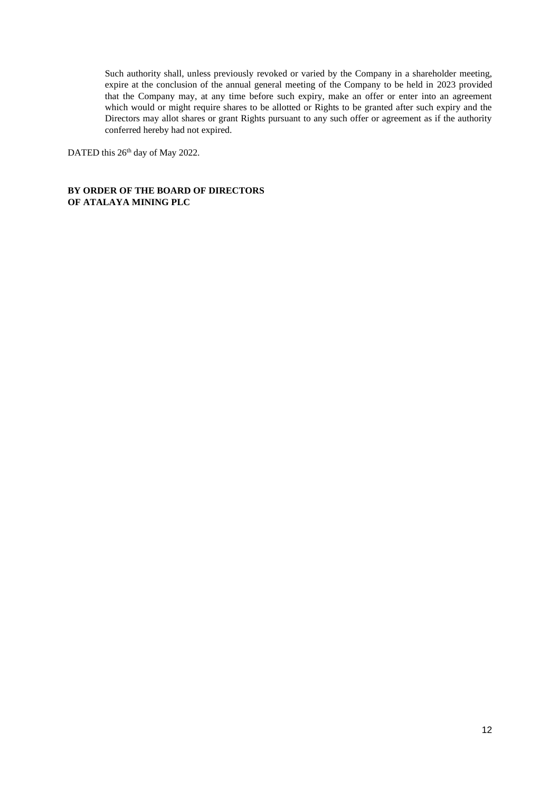Such authority shall, unless previously revoked or varied by the Company in a shareholder meeting, expire at the conclusion of the annual general meeting of the Company to be held in 2023 provided that the Company may, at any time before such expiry, make an offer or enter into an agreement which would or might require shares to be allotted or Rights to be granted after such expiry and the Directors may allot shares or grant Rights pursuant to any such offer or agreement as if the authority conferred hereby had not expired.

DATED this 26<sup>th</sup> day of May 2022.

# **BY ORDER OF THE BOARD OF DIRECTORS OF ATALAYA MINING PLC**